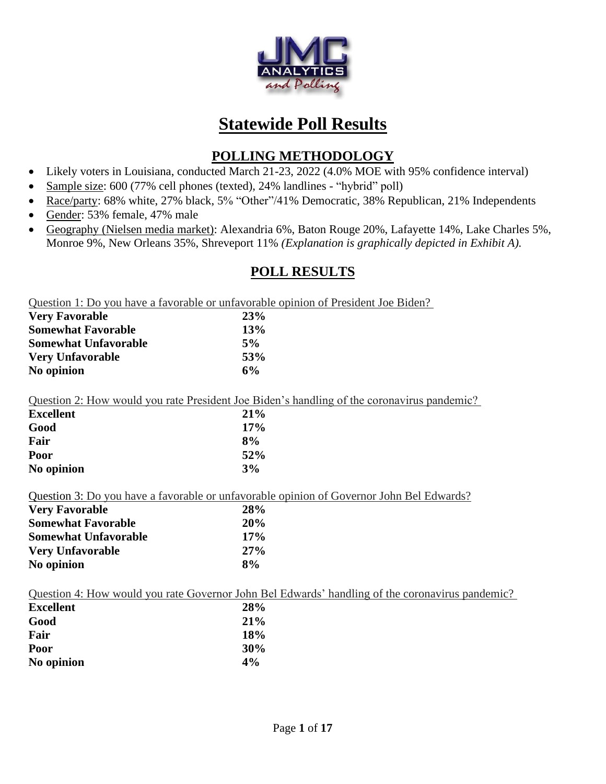

# **Statewide Poll Results**

# **POLLING METHODOLOGY**

- Likely voters in Louisiana, conducted March 21-23, 2022 (4.0% MOE with 95% confidence interval)
- Sample size: 600 (77% cell phones (texted), 24% landlines "hybrid" poll)
- Race/party: 68% white, 27% black, 5% "Other"/41% Democratic, 38% Republican, 21% Independents
- Gender: 53% female, 47% male
- Geography (Nielsen media market): Alexandria 6%, Baton Rouge 20%, Lafayette 14%, Lake Charles 5%, Monroe 9%, New Orleans 35%, Shreveport 11% *(Explanation is graphically depicted in Exhibit A).*

# **POLL RESULTS**

Question 1: Do you have a favorable or unfavorable opinion of President Joe Biden?

| <b>Very Favorable</b>       | 23% |
|-----------------------------|-----|
| <b>Somewhat Favorable</b>   | 13% |
| <b>Somewhat Unfavorable</b> | 5%  |
| <b>Very Unfavorable</b>     | 53% |
| No opinion                  | 6%  |

Question 2: How would you rate President Joe Biden's handling of the coronavirus pandemic?

| <b>Excellent</b> | <b>21%</b> |
|------------------|------------|
| Good             | 17%        |
| Fair             | 8%         |
| Poor             | 52%        |
| No opinion       | 3%         |

Question 3: Do you have a favorable or unfavorable opinion of Governor John Bel Edwards?

| <b>Very Favorable</b>       | 28% |
|-----------------------------|-----|
| <b>Somewhat Favorable</b>   | 20% |
| <b>Somewhat Unfavorable</b> | 17% |
| <b>Very Unfavorable</b>     | 27% |
| No opinion                  | 8%  |

**No opinion 4%**

|                  |     | Question 4: How would you rate Governor John Bel Edwards' handling of the coronavirus pandemic? |
|------------------|-----|-------------------------------------------------------------------------------------------------|
| <b>Excellent</b> | 28% |                                                                                                 |
| Good             | 21% |                                                                                                 |
| Fair             | 18% |                                                                                                 |
| Poor             | 30% |                                                                                                 |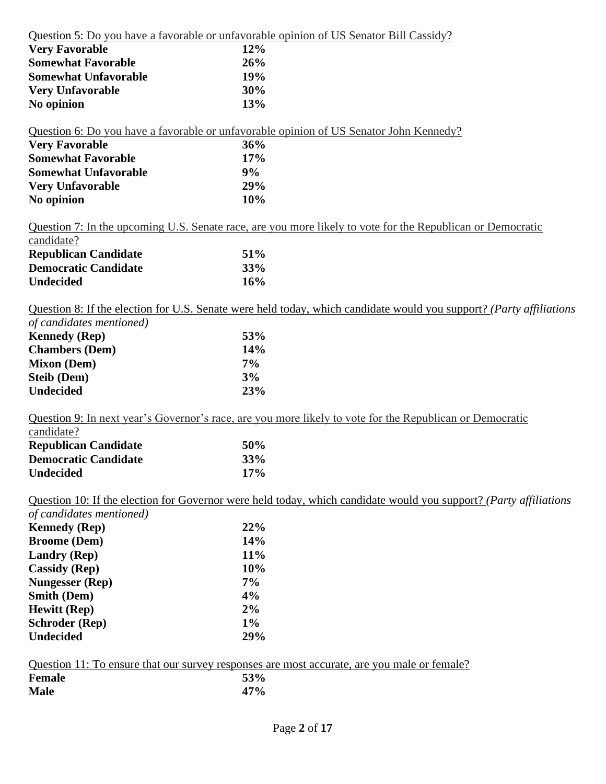Question 5: Do you have a favorable or unfavorable opinion of US Senator Bill Cassidy?

| <b>Very Favorable</b>       | $12\%$     |
|-----------------------------|------------|
| <b>Somewhat Favorable</b>   | 26%        |
| <b>Somewhat Unfavorable</b> | <b>19%</b> |
| <b>Very Unfavorable</b>     | 30%        |
| No opinion                  | 13%        |

Question 6: Do you have a favorable or unfavorable opinion of US Senator John Kennedy? **Very Favorable 36% Somewhat Favorable 17% Somewhat Unfavorable 9% Very Unfavorable 29%**

Question 7: In the upcoming U.S. Senate race, are you more likely to vote for the Republican or Democratic candidate?

| <b>Republican Candidate</b> | 51\% |
|-----------------------------|------|
| <b>Democratic Candidate</b> | 33%  |
| <b>Undecided</b>            | 16%  |

**No opinion 10%**

Question 8: If the election for U.S. Senate were held today, which candidate would you support? *(Party affiliations* 

| of candidates mentioned) |       |
|--------------------------|-------|
| <b>Kennedy</b> (Rep)     | 53%   |
| <b>Chambers</b> (Dem)    | 14%   |
| <b>Mixon</b> (Dem)       | $7\%$ |
| <b>Steib</b> (Dem)       | 3%    |
| <b>Undecided</b>         | 23%   |

Question 9: In next year's Governor's race, are you more likely to vote for the Republican or Democratic candidate?

| <b>Republican Candidate</b> | <b>50%</b> |
|-----------------------------|------------|
| <b>Democratic Candidate</b> | 33%        |
| Undecided                   | 17%        |

Question 10: If the election for Governor were held today, which candidate would you support? *(Party affiliations* 

| of candidates mentioned) |       |
|--------------------------|-------|
| <b>Kennedy</b> (Rep)     | 22%   |
| <b>Broome</b> (Dem)      | 14%   |
| <b>Landry</b> (Rep)      | 11%   |
| <b>Cassidy</b> (Rep)     | 10%   |
| <b>Nungesser (Rep)</b>   | $7\%$ |
| <b>Smith (Dem)</b>       | 4%    |
| <b>Hewitt</b> (Rep)      | 2%    |
| <b>Schroder</b> (Rep)    | $1\%$ |
| <b>Undecided</b>         | 29%   |

|  |  |  |  | Question 11: To ensure that our survey responses are most accurate, are you male or female? |  |  |  |
|--|--|--|--|---------------------------------------------------------------------------------------------|--|--|--|
|  |  |  |  |                                                                                             |  |  |  |

| Female      | 53% |
|-------------|-----|
| <b>Male</b> | 47% |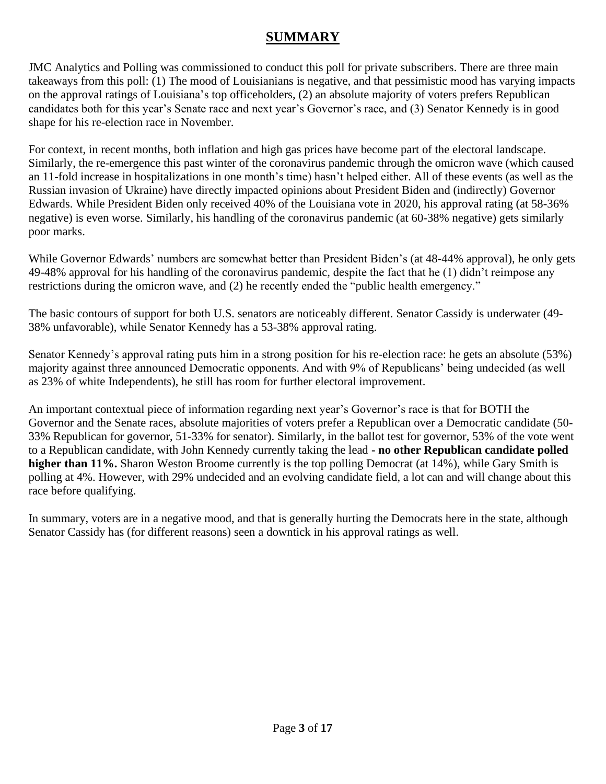# **SUMMARY**

JMC Analytics and Polling was commissioned to conduct this poll for private subscribers. There are three main takeaways from this poll: (1) The mood of Louisianians is negative, and that pessimistic mood has varying impacts on the approval ratings of Louisiana's top officeholders, (2) an absolute majority of voters prefers Republican candidates both for this year's Senate race and next year's Governor's race, and (3) Senator Kennedy is in good shape for his re-election race in November.

For context, in recent months, both inflation and high gas prices have become part of the electoral landscape. Similarly, the re-emergence this past winter of the coronavirus pandemic through the omicron wave (which caused an 11-fold increase in hospitalizations in one month's time) hasn't helped either. All of these events (as well as the Russian invasion of Ukraine) have directly impacted opinions about President Biden and (indirectly) Governor Edwards. While President Biden only received 40% of the Louisiana vote in 2020, his approval rating (at 58-36% negative) is even worse. Similarly, his handling of the coronavirus pandemic (at 60-38% negative) gets similarly poor marks.

While Governor Edwards' numbers are somewhat better than President Biden's (at 48-44% approval), he only gets 49-48% approval for his handling of the coronavirus pandemic, despite the fact that he (1) didn't reimpose any restrictions during the omicron wave, and (2) he recently ended the "public health emergency."

The basic contours of support for both U.S. senators are noticeably different. Senator Cassidy is underwater (49- 38% unfavorable), while Senator Kennedy has a 53-38% approval rating.

Senator Kennedy's approval rating puts him in a strong position for his re-election race: he gets an absolute (53%) majority against three announced Democratic opponents. And with 9% of Republicans' being undecided (as well as 23% of white Independents), he still has room for further electoral improvement.

An important contextual piece of information regarding next year's Governor's race is that for BOTH the Governor and the Senate races, absolute majorities of voters prefer a Republican over a Democratic candidate (50- 33% Republican for governor, 51-33% for senator). Similarly, in the ballot test for governor, 53% of the vote went to a Republican candidate, with John Kennedy currently taking the lead **- no other Republican candidate polled higher than 11%.** Sharon Weston Broome currently is the top polling Democrat (at 14%), while Gary Smith is polling at 4%. However, with 29% undecided and an evolving candidate field, a lot can and will change about this race before qualifying.

In summary, voters are in a negative mood, and that is generally hurting the Democrats here in the state, although Senator Cassidy has (for different reasons) seen a downtick in his approval ratings as well.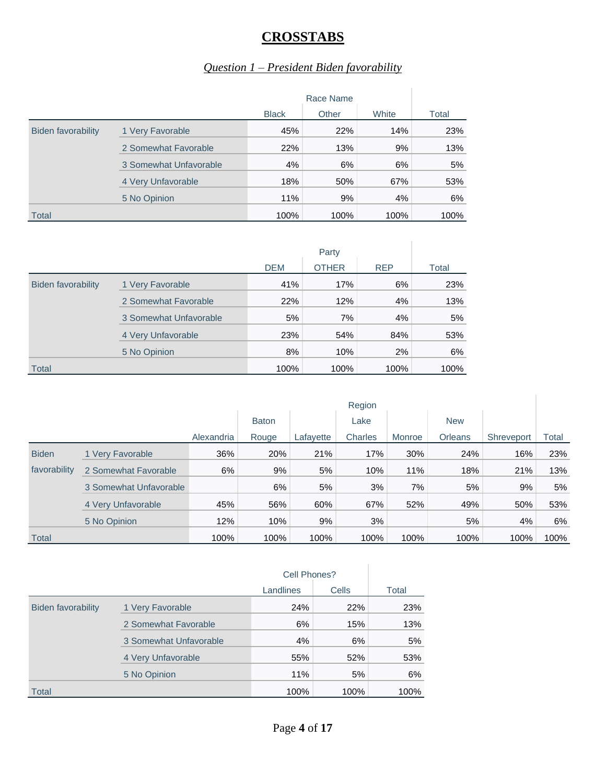# **CROSSTABS**

#### *Question 1 – President Biden favorability*

|                           |                        | Race Name    |       |       |       |
|---------------------------|------------------------|--------------|-------|-------|-------|
|                           |                        | <b>Black</b> | Other | White | Total |
| <b>Biden favorability</b> | 1 Very Favorable       | 45%          | 22%   | 14%   | 23%   |
|                           | 2 Somewhat Favorable   | 22%          | 13%   | 9%    | 13%   |
|                           | 3 Somewhat Unfavorable | 4%           | 6%    | 6%    | 5%    |
|                           | 4 Very Unfavorable     | 18%          | 50%   | 67%   | 53%   |
|                           | 5 No Opinion           | 11%          | 9%    | 4%    | 6%    |
| <b>Total</b>              |                        | 100%         | 100%  | 100%  | 100%  |

|                           |                        | <b>DEM</b> | <b>OTHER</b> | <b>REP</b> | Total |
|---------------------------|------------------------|------------|--------------|------------|-------|
| <b>Biden favorability</b> | 1 Very Favorable       | 41%        | 17%          | 6%         | 23%   |
|                           | 2 Somewhat Favorable   | 22%        | 12%          | 4%         | 13%   |
|                           | 3 Somewhat Unfavorable | 5%         | 7%           | 4%         | 5%    |
|                           | 4 Very Unfavorable     | 23%        | 54%          | 84%        | 53%   |
|                           | 5 No Opinion           | 8%         | 10%          | 2%         | 6%    |
| <b>Total</b>              |                        | 100%       | 100%         | 100%       | 100%  |

|              |                        | Region     |              |           |         |        |                |            |       |
|--------------|------------------------|------------|--------------|-----------|---------|--------|----------------|------------|-------|
|              |                        |            | <b>Baton</b> |           | Lake    |        | <b>New</b>     |            |       |
|              |                        | Alexandria | Rouge        | Lafayette | Charles | Monroe | <b>Orleans</b> | Shreveport | Total |
| <b>Biden</b> | 1 Very Favorable       | 36%        | 20%          | 21%       | 17%     | 30%    | 24%            | 16%        | 23%   |
| favorability | 2 Somewhat Favorable   | 6%         | 9%           | 5%        | 10%     | 11%    | 18%            | 21%        | 13%   |
|              | 3 Somewhat Unfavorable |            | 6%           | 5%        | 3%      | 7%     | 5%             | 9%         | 5%    |
|              | 4 Very Unfavorable     | 45%        | 56%          | 60%       | 67%     | 52%    | 49%            | 50%        | 53%   |
|              | 5 No Opinion           | 12%        | 10%          | 9%        | 3%      |        | 5%             | 4%         | 6%    |
| Total        |                        | 100%       | 100%         | 100%      | 100%    | 100%   | 100%           | 100%       | 100%  |

|                    |                        | Cell Phones? |       |       |
|--------------------|------------------------|--------------|-------|-------|
|                    |                        | Landlines    | Cells | Total |
| Biden favorability | 1 Very Favorable       | 24%          | 22%   | 23%   |
|                    | 2 Somewhat Favorable   | 6%           | 15%   | 13%   |
|                    | 3 Somewhat Unfavorable | 4%           | 6%    | 5%    |
|                    | 4 Very Unfavorable     | 55%          | 52%   | 53%   |
|                    | 5 No Opinion           | 11%          | 5%    | 6%    |
| Total              |                        | 100%         | 100%  | 100%  |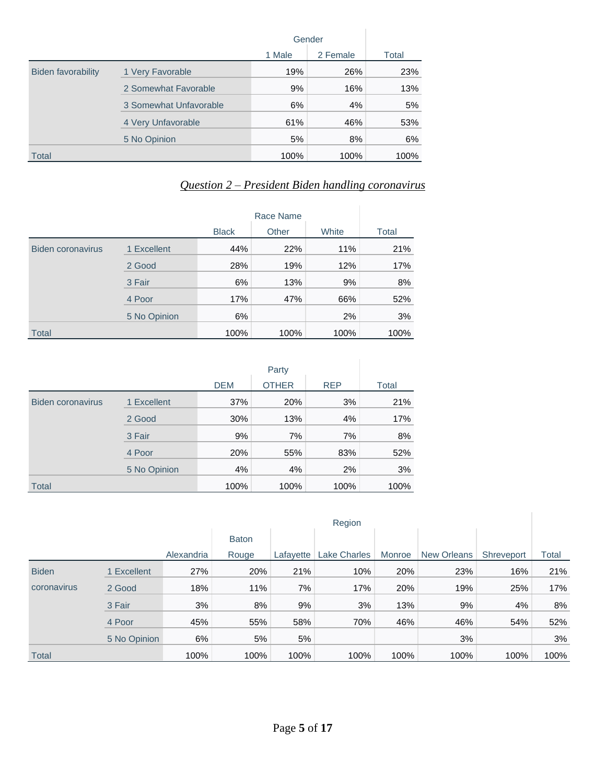|                           |                        | Gender |          |       |
|---------------------------|------------------------|--------|----------|-------|
|                           |                        | 1 Male | 2 Female | Total |
| <b>Biden favorability</b> | 1 Very Favorable       | 19%    | 26%      | 23%   |
|                           | 2 Somewhat Favorable   | 9%     | 16%      | 13%   |
|                           | 3 Somewhat Unfavorable | 6%     | 4%       | 5%    |
|                           | 4 Very Unfavorable     | 61%    | 46%      | 53%   |
|                           | 5 No Opinion           | 5%     | 8%       | 6%    |
| Total                     |                        | 100%   | 100%     | 100%  |

#### *Question 2 – President Biden handling coronavirus*

|                          |              | <b>Black</b> | Other | White | Total |
|--------------------------|--------------|--------------|-------|-------|-------|
| <b>Biden coronavirus</b> | 1 Excellent  | 44%          | 22%   | 11%   | 21%   |
|                          | 2 Good       | 28%          | 19%   | 12%   | 17%   |
|                          | 3 Fair       | 6%           | 13%   | 9%    | 8%    |
|                          | 4 Poor       | 17%          | 47%   | 66%   | 52%   |
|                          | 5 No Opinion | 6%           |       | 2%    | 3%    |
| <b>Total</b>             |              | 100%         | 100%  | 100%  | 100%  |

|                          |              | <b>DEM</b> | <b>OTHER</b> | <b>REP</b> | Total |
|--------------------------|--------------|------------|--------------|------------|-------|
| <b>Biden coronavirus</b> | 1 Excellent  | 37%        | 20%          | 3%         | 21%   |
|                          | 2 Good       | 30%        | 13%          | 4%         | 17%   |
|                          | 3 Fair       | 9%         | 7%           | 7%         | 8%    |
|                          | 4 Poor       | 20%        | 55%          | 83%        | 52%   |
|                          | 5 No Opinion | 4%         | 4%           | 2%         | 3%    |
| <b>Total</b>             |              | 100%       | 100%         | 100%       | 100%  |

|              |              | Region     |              |           |                     |        |                    |            |       |
|--------------|--------------|------------|--------------|-----------|---------------------|--------|--------------------|------------|-------|
|              |              |            | <b>Baton</b> |           |                     |        |                    |            |       |
|              |              | Alexandria | Rouge        | Lafayette | <b>Lake Charles</b> | Monroe | <b>New Orleans</b> | Shreveport | Total |
| <b>Biden</b> | 1 Excellent  | 27%        | 20%          | 21%       | 10%                 | 20%    | 23%                | 16%        | 21%   |
| coronavirus  | 2 Good       | 18%        | 11%          | 7%        | 17%                 | 20%    | 19%                | 25%        | 17%   |
|              | 3 Fair       | 3%         | 8%           | 9%        | 3%                  | 13%    | 9%                 | 4%         | 8%    |
|              | 4 Poor       | 45%        | 55%          | 58%       | 70%                 | 46%    | 46%                | 54%        | 52%   |
|              | 5 No Opinion | 6%         | 5%           | 5%        |                     |        | 3%                 |            | 3%    |
| Total        |              | 100%       | 100%         | 100%      | 100%                | 100%   | 100%               | 100%       | 100%  |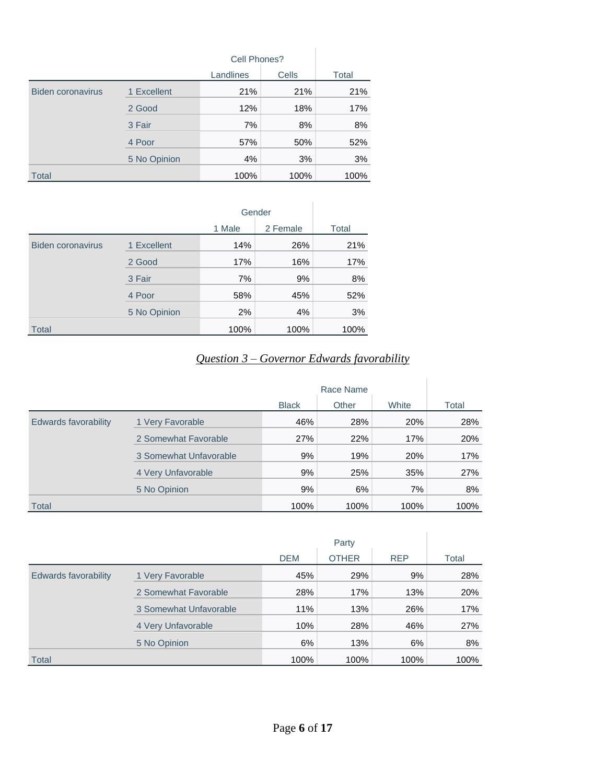|                          |              | Cell Phones? |              |       |
|--------------------------|--------------|--------------|--------------|-------|
|                          |              | Landlines    | <b>Cells</b> | Total |
| <b>Biden coronavirus</b> | 1 Excellent  | 21%          | 21%          | 21%   |
|                          | 2 Good       | 12%          | 18%          | 17%   |
|                          | 3 Fair       | 7%           | 8%           | 8%    |
|                          | 4 Poor       | 57%          | 50%          | 52%   |
|                          | 5 No Opinion | 4%           | 3%           | 3%    |
| <b>Total</b>             |              | 100%         | 100%         | 100%  |

|                          |              |        | Gender   |       |
|--------------------------|--------------|--------|----------|-------|
|                          |              | 1 Male | 2 Female | Total |
| <b>Biden coronavirus</b> | 1 Excellent  | 14%    | 26%      | 21%   |
|                          | 2 Good       | 17%    | 16%      | 17%   |
|                          | 3 Fair       | 7%     | 9%       | 8%    |
|                          | 4 Poor       | 58%    | 45%      | 52%   |
|                          | 5 No Opinion | 2%     | 4%       | 3%    |
| <b>Total</b>             |              | 100%   | 100%     | 100%  |

# *Question 3 – Governor Edwards favorability*

|                             |                        | <b>Black</b> | Other | White | Total |
|-----------------------------|------------------------|--------------|-------|-------|-------|
| <b>Edwards favorability</b> | 1 Very Favorable       | 46%          | 28%   | 20%   | 28%   |
|                             | 2 Somewhat Favorable   | 27%          | 22%   | 17%   | 20%   |
|                             | 3 Somewhat Unfavorable | 9%           | 19%   | 20%   | 17%   |
|                             | 4 Very Unfavorable     | 9%           | 25%   | 35%   | 27%   |
|                             | 5 No Opinion           | 9%           | 6%    | 7%    | 8%    |
| Total                       |                        | 100%         | 100%  | 100%  | 100%  |

|                             |                        |            | Party        |            |       |
|-----------------------------|------------------------|------------|--------------|------------|-------|
|                             |                        | <b>DEM</b> | <b>OTHER</b> | <b>REP</b> | Total |
| <b>Edwards favorability</b> | 1 Very Favorable       | 45%        | 29%          | 9%         | 28%   |
|                             | 2 Somewhat Favorable   | 28%        | 17%          | 13%        | 20%   |
|                             | 3 Somewhat Unfavorable | 11%        | 13%          | 26%        | 17%   |
|                             | 4 Very Unfavorable     | 10%        | 28%          | 46%        | 27%   |
|                             | 5 No Opinion           | 6%         | 13%          | 6%         | 8%    |
| <b>Total</b>                |                        | 100%       | 100%         | 100%       | 100%  |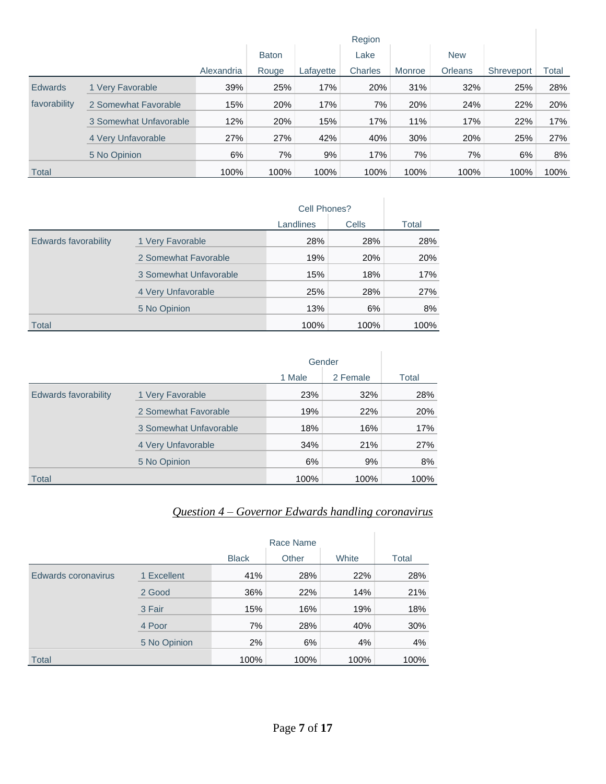|                |                        | Region     |              |           |         |        |                |            |       |
|----------------|------------------------|------------|--------------|-----------|---------|--------|----------------|------------|-------|
|                |                        |            | <b>Baton</b> |           | Lake    |        | <b>New</b>     |            |       |
|                |                        | Alexandria | Rouge        | Lafayette | Charles | Monroe | <b>Orleans</b> | Shreveport | Total |
| <b>Edwards</b> | 1 Very Favorable       | 39%        | 25%          | 17%       | 20%     | 31%    | 32%            | 25%        | 28%   |
| favorability   | 2 Somewhat Favorable   | 15%        | 20%          | 17%       | 7%      | 20%    | 24%            | 22%        | 20%   |
|                | 3 Somewhat Unfavorable | 12%        | 20%          | 15%       | 17%     | 11%    | 17%            | 22%        | 17%   |
|                | 4 Very Unfavorable     | 27%        | 27%          | 42%       | 40%     | 30%    | 20%            | 25%        | 27%   |
|                | 5 No Opinion           | 6%         | 7%           | 9%        | 17%     | 7%     | 7%             | 6%         | 8%    |
| <b>Total</b>   |                        | 100%       | 100%         | 100%      | 100%    | 100%   | 100%           | 100%       | 100%  |

|                      |                        | Cell Phones? |       |       |
|----------------------|------------------------|--------------|-------|-------|
|                      |                        | Landlines    | Cells | Total |
| Edwards favorability | 1 Very Favorable       | 28%          | 28%   | 28%   |
|                      | 2 Somewhat Favorable   | 19%          | 20%   | 20%   |
|                      | 3 Somewhat Unfavorable | 15%          | 18%   | 17%   |
|                      | 4 Very Unfavorable     | 25%          | 28%   | 27%   |
|                      | 5 No Opinion           | 13%          | 6%    | 8%    |
| Total                |                        | 100%         | 100%  | 100%  |

|                             |                        |        | Gender   |       |
|-----------------------------|------------------------|--------|----------|-------|
|                             |                        | 1 Male | 2 Female | Total |
| <b>Edwards favorability</b> | 1 Very Favorable       | 23%    | 32%      | 28%   |
|                             | 2 Somewhat Favorable   | 19%    | 22%      | 20%   |
|                             | 3 Somewhat Unfavorable | 18%    | 16%      | 17%   |
|                             | 4 Very Unfavorable     | 34%    | 21%      | 27%   |
|                             | 5 No Opinion           | 6%     | 9%       | 8%    |
| <b>Total</b>                |                        | 100%   | 100%     | 100%  |

#### *Question 4 – Governor Edwards handling coronavirus*

|                     |              | <b>Black</b> | Other | White | Total |
|---------------------|--------------|--------------|-------|-------|-------|
| Edwards coronavirus | 1 Excellent  | 41%          | 28%   | 22%   | 28%   |
|                     | 2 Good       | 36%          | 22%   | 14%   | 21%   |
|                     | 3 Fair       | 15%          | 16%   | 19%   | 18%   |
|                     | 4 Poor       | 7%           | 28%   | 40%   | 30%   |
|                     | 5 No Opinion | 2%           | 6%    | 4%    | 4%    |
| <b>Total</b>        |              | 100%         | 100%  | 100%  | 100%  |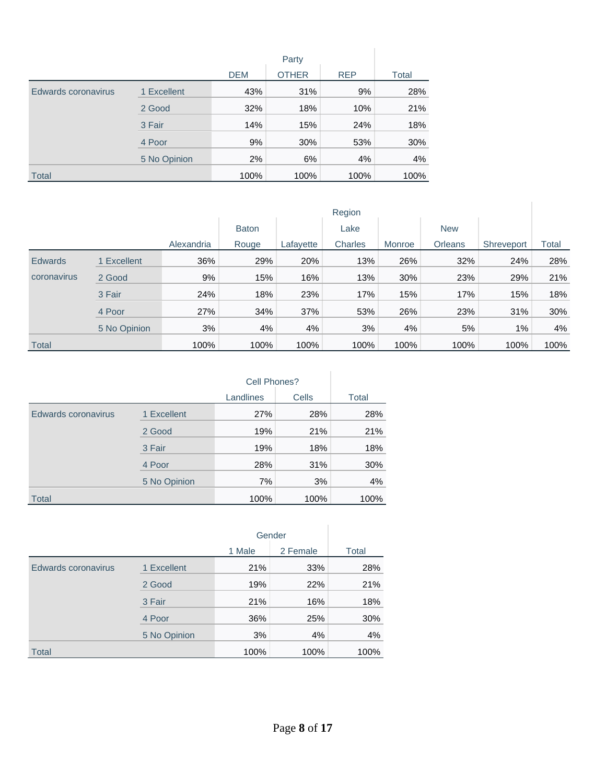|                     |              | <b>DEM</b> | <b>OTHER</b> | <b>REP</b> | Total |
|---------------------|--------------|------------|--------------|------------|-------|
| Edwards coronavirus | 1 Excellent  | 43%        | 31%          | 9%         | 28%   |
|                     | 2 Good       | 32%        | 18%          | 10%        | 21%   |
|                     | 3 Fair       | 14%        | 15%          | 24%        | 18%   |
|                     | 4 Poor       | 9%         | 30%          | 53%        | 30%   |
|                     | 5 No Opinion | 2%         | 6%           | 4%         | 4%    |
| <b>Total</b>        |              | 100%       | 100%         | 100%       | 100%  |

|                | Region       |            |              |           |         |        |                |            |       |
|----------------|--------------|------------|--------------|-----------|---------|--------|----------------|------------|-------|
|                |              |            | <b>Baton</b> |           | Lake    |        | <b>New</b>     |            |       |
|                |              | Alexandria | Rouge        | Lafayette | Charles | Monroe | <b>Orleans</b> | Shreveport | Total |
| <b>Edwards</b> | 1 Excellent  | 36%        | 29%          | 20%       | 13%     | 26%    | 32%            | 24%        | 28%   |
| coronavirus    | 2 Good       | 9%         | 15%          | 16%       | 13%     | 30%    | 23%            | 29%        | 21%   |
|                | 3 Fair       | 24%        | 18%          | 23%       | 17%     | 15%    | 17%            | 15%        | 18%   |
|                | 4 Poor       | 27%        | 34%          | 37%       | 53%     | 26%    | 23%            | 31%        | 30%   |
|                | 5 No Opinion | 3%         | 4%           | 4%        | 3%      | 4%     | 5%             | 1%         | 4%    |
| <b>Total</b>   |              | 100%       | 100%         | 100%      | 100%    | 100%   | 100%           | 100%       | 100%  |

|                     |              | Cell Phones? |       |       |
|---------------------|--------------|--------------|-------|-------|
|                     |              | Landlines    | Cells | Total |
| Edwards coronavirus | 1 Excellent  | 27%          | 28%   | 28%   |
|                     | 2 Good       | 19%          | 21%   | 21%   |
|                     | 3 Fair       | 19%          | 18%   | 18%   |
|                     | 4 Poor       | 28%          | 31%   | 30%   |
|                     | 5 No Opinion | 7%           | 3%    | 4%    |
| <b>Total</b>        |              | 100%         | 100%  | 100%  |

|                     |              | Gender |          |       |
|---------------------|--------------|--------|----------|-------|
|                     |              | 1 Male | 2 Female | Total |
| Edwards coronavirus | 1 Excellent  | 21%    | 33%      | 28%   |
|                     | 2 Good       | 19%    | 22%      | 21%   |
|                     | 3 Fair       | 21%    | 16%      | 18%   |
|                     | 4 Poor       | 36%    | 25%      | 30%   |
|                     | 5 No Opinion | 3%     | 4%       | 4%    |
| <b>Total</b>        |              | 100%   | 100%     | 100%  |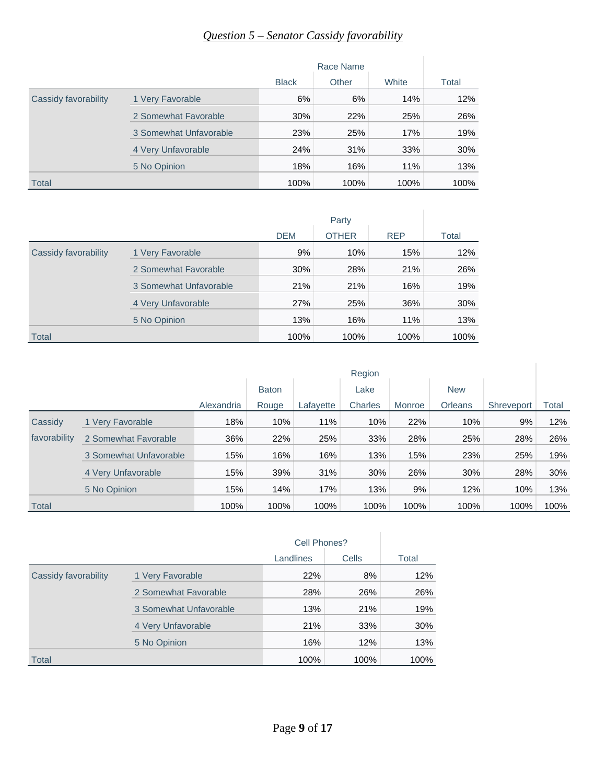# *Question 5 – Senator Cassidy favorability*

|                      |                        | Race Name    |       |       |       |
|----------------------|------------------------|--------------|-------|-------|-------|
|                      |                        | <b>Black</b> | Other | White | Total |
| Cassidy favorability | 1 Very Favorable       | 6%           | 6%    | 14%   | 12%   |
|                      | 2 Somewhat Favorable   | 30%          | 22%   | 25%   | 26%   |
|                      | 3 Somewhat Unfavorable | 23%          | 25%   | 17%   | 19%   |
|                      | 4 Very Unfavorable     | 24%          | 31%   | 33%   | 30%   |
|                      | 5 No Opinion           | 18%          | 16%   | 11%   | 13%   |
| Total                |                        | 100%         | 100%  | 100%  | 100%  |

|                      |                        | <b>DEM</b> | <b>OTHER</b> | <b>REP</b> | Total |
|----------------------|------------------------|------------|--------------|------------|-------|
| Cassidy favorability | 1 Very Favorable       | 9%         | 10%          | 15%        | 12%   |
|                      | 2 Somewhat Favorable   | 30%        | 28%          | 21%        | 26%   |
|                      | 3 Somewhat Unfavorable | 21%        | 21%          | 16%        | 19%   |
|                      | 4 Very Unfavorable     | 27%        | 25%          | 36%        | 30%   |
|                      | 5 No Opinion           | 13%        | 16%          | 11%        | 13%   |
| Total                |                        | 100%       | 100%         | 100%       | 100%  |

|              |                        | Region     |              |           |         |        |                |            |       |
|--------------|------------------------|------------|--------------|-----------|---------|--------|----------------|------------|-------|
|              |                        |            | <b>Baton</b> |           | Lake    |        | <b>New</b>     |            |       |
|              |                        | Alexandria | Rouge        | Lafayette | Charles | Monroe | <b>Orleans</b> | Shreveport | Total |
| Cassidy      | 1 Very Favorable       | 18%        | 10%          | 11%       | 10%     | 22%    | 10%            | 9%         | 12%   |
| favorability | 2 Somewhat Favorable   | 36%        | 22%          | 25%       | 33%     | 28%    | 25%            | 28%        | 26%   |
|              | 3 Somewhat Unfavorable | 15%        | 16%          | 16%       | 13%     | 15%    | 23%            | 25%        | 19%   |
|              | 4 Very Unfavorable     | 15%        | 39%          | 31%       | 30%     | 26%    | 30%            | 28%        | 30%   |
|              | 5 No Opinion           | 15%        | 14%          | 17%       | 13%     | 9%     | 12%            | 10%        | 13%   |
| Total        |                        | 100%       | 100%         | 100%      | 100%    | 100%   | 100%           | 100%       | 100%  |

|                      |                        | Cell Phones? |              |       |
|----------------------|------------------------|--------------|--------------|-------|
|                      |                        | Landlines    | <b>Cells</b> | Total |
| Cassidy favorability | 1 Very Favorable       | 22%          | 8%           | 12%   |
|                      | 2 Somewhat Favorable   | 28%          | 26%          | 26%   |
|                      | 3 Somewhat Unfavorable | 13%          | 21%          | 19%   |
|                      | 4 Very Unfavorable     | 21%          | 33%          | 30%   |
|                      | 5 No Opinion           | 16%          | 12%          | 13%   |
| Total                |                        | 100%         | 100%         | 100%  |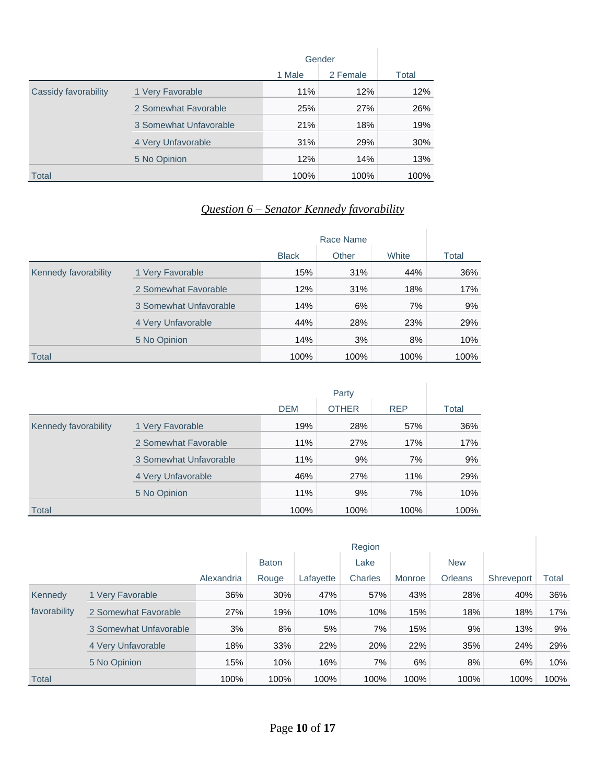|                      |                        |        | Gender   |       |
|----------------------|------------------------|--------|----------|-------|
|                      |                        | 1 Male | 2 Female | Total |
| Cassidy favorability | 1 Very Favorable       | 11%    | 12%      | 12%   |
|                      | 2 Somewhat Favorable   | 25%    | 27%      | 26%   |
|                      | 3 Somewhat Unfavorable | 21%    | 18%      | 19%   |
|                      | 4 Very Unfavorable     | 31%    | 29%      | 30%   |
|                      | 5 No Opinion           | 12%    | 14%      | 13%   |
| <b>Total</b>         |                        | 100%   | 100%     | 100%  |

# *Question 6 – Senator Kennedy favorability*

|                      |                        | Race Name    |       |       |       |
|----------------------|------------------------|--------------|-------|-------|-------|
|                      |                        | <b>Black</b> | Other | White | Total |
| Kennedy favorability | 1 Very Favorable       | 15%          | 31%   | 44%   | 36%   |
|                      | 2 Somewhat Favorable   | 12%          | 31%   | 18%   | 17%   |
|                      | 3 Somewhat Unfavorable | 14%          | 6%    | 7%    | 9%    |
|                      | 4 Very Unfavorable     | 44%          | 28%   | 23%   | 29%   |
|                      | 5 No Opinion           | 14%          | 3%    | 8%    | 10%   |
| <b>Total</b>         |                        | 100%         | 100%  | 100%  | 100%  |

|                      |                        |            | Party        |            |       |
|----------------------|------------------------|------------|--------------|------------|-------|
|                      |                        | <b>DEM</b> | <b>OTHER</b> | <b>REP</b> | Total |
| Kennedy favorability | 1 Very Favorable       | 19%        | 28%          | 57%        | 36%   |
|                      | 2 Somewhat Favorable   | 11%        | 27%          | 17%        | 17%   |
|                      | 3 Somewhat Unfavorable | 11%        | 9%           | 7%         | 9%    |
|                      | 4 Very Unfavorable     | 46%        | 27%          | 11%        | 29%   |
|                      | 5 No Opinion           | 11%        | 9%           | 7%         | 10%   |
| <b>Total</b>         |                        | 100%       | 100%         | 100%       | 100%  |

|              |                        |            |              |           | Region         |        |                |            |       |
|--------------|------------------------|------------|--------------|-----------|----------------|--------|----------------|------------|-------|
|              |                        |            | <b>Baton</b> |           | Lake           |        | <b>New</b>     |            |       |
|              |                        | Alexandria | Rouge        | Lafayette | <b>Charles</b> | Monroe | <b>Orleans</b> | Shreveport | Total |
| Kennedy      | 1 Very Favorable       | 36%        | 30%          | 47%       | 57%            | 43%    | 28%            | 40%        | 36%   |
| favorability | 2 Somewhat Favorable   | 27%        | 19%          | 10%       | 10%            | 15%    | 18%            | 18%        | 17%   |
|              | 3 Somewhat Unfavorable | 3%         | 8%           | 5%        | 7%             | 15%    | 9%             | 13%        | 9%    |
|              | 4 Very Unfavorable     | 18%        | 33%          | 22%       | 20%            | 22%    | 35%            | 24%        | 29%   |
|              | 5 No Opinion           | 15%        | 10%          | 16%       | 7%             | 6%     | 8%             | 6%         | 10%   |
| Total        |                        | 100%       | 100%         | 100%      | 100%           | 100%   | 100%           | 100%       | 100%  |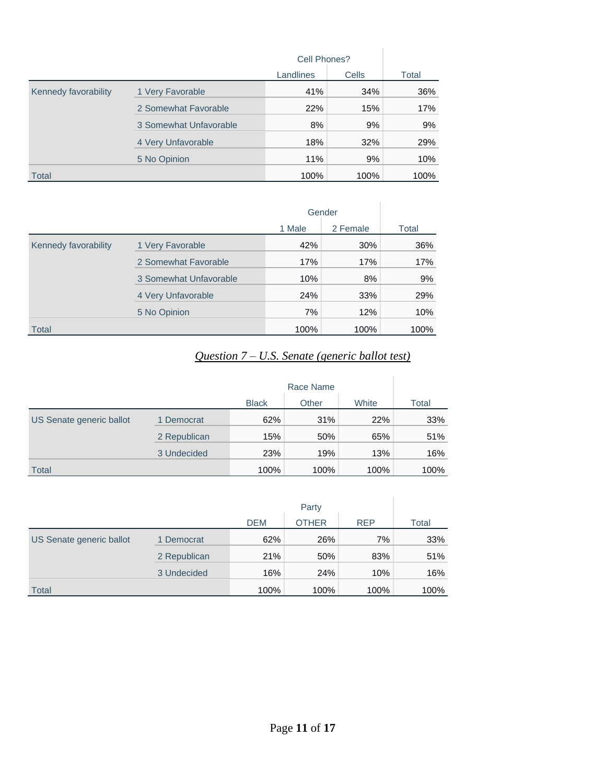|                      |                        | Cell Phones? |       |       |
|----------------------|------------------------|--------------|-------|-------|
|                      |                        | Landlines    | Cells | Total |
| Kennedy favorability | 1 Very Favorable       | 41%          | 34%   | 36%   |
|                      | 2 Somewhat Favorable   | 22%          | 15%   | 17%   |
|                      | 3 Somewhat Unfavorable | 8%           | 9%    | 9%    |
|                      | 4 Very Unfavorable     | 18%          | 32%   | 29%   |
|                      | 5 No Opinion           | 11%          | 9%    | 10%   |
| Total                |                        | 100%         | 100%  | 100%  |

|                      |                        |        | Gender   |       |
|----------------------|------------------------|--------|----------|-------|
|                      |                        | 1 Male | 2 Female | Total |
| Kennedy favorability | 1 Very Favorable       | 42%    | 30%      | 36%   |
|                      | 2 Somewhat Favorable   | 17%    | 17%      | 17%   |
|                      | 3 Somewhat Unfavorable | 10%    | 8%       | 9%    |
|                      | 4 Very Unfavorable     | 24%    | 33%      | 29%   |
|                      | 5 No Opinion           | 7%     | 12%      | 10%   |
| Total                |                        | 100%   | 100%     | 100%  |

# *Question 7 – U.S. Senate (generic ballot test)*

|                          |              |              | Race Name |       |       |
|--------------------------|--------------|--------------|-----------|-------|-------|
|                          |              | <b>Black</b> | Other     | White | Total |
| US Senate generic ballot | 1 Democrat   | 62%          | 31%       | 22%   | 33%   |
|                          | 2 Republican | 15%          | 50%       | 65%   | 51%   |
|                          | 3 Undecided  | 23%          | 19%       | 13%   | 16%   |
| <b>Total</b>             |              | 100%         | 100%      | 100%  | 100%  |

|                          |              |            | Party        |            |       |
|--------------------------|--------------|------------|--------------|------------|-------|
|                          |              | <b>DEM</b> | <b>OTHER</b> | <b>REP</b> | Total |
| US Senate generic ballot | 1 Democrat   | 62%        | 26%          | 7%         | 33%   |
|                          | 2 Republican | 21%        | 50%          | 83%        | 51%   |
|                          | 3 Undecided  | 16%        | 24%          | 10%        | 16%   |
| <b>Total</b>             |              | 100%       | 100%         | 100%       | 100%  |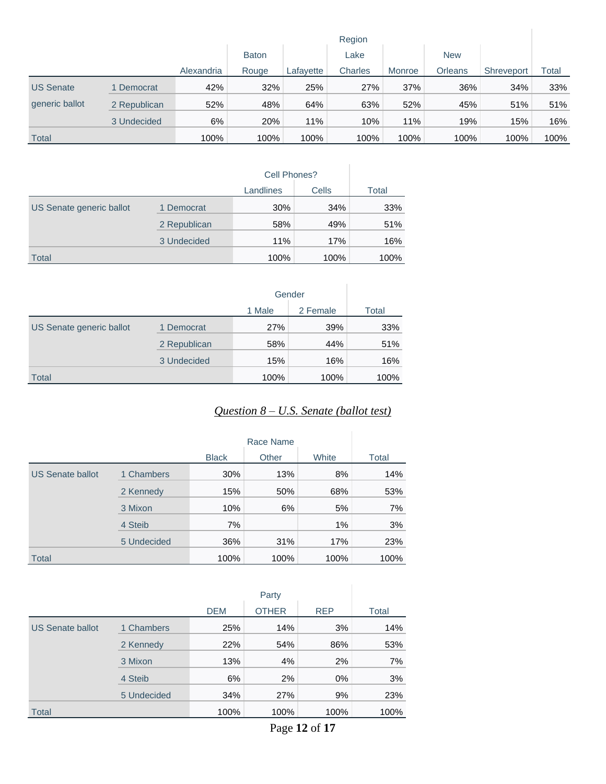| Region           |              |            |              |           |         |        |                |            |              |
|------------------|--------------|------------|--------------|-----------|---------|--------|----------------|------------|--------------|
|                  |              |            | <b>Baton</b> |           | Lake    |        | <b>New</b>     |            |              |
|                  |              | Alexandria | Rouge        | Lafayette | Charles | Monroe | <b>Orleans</b> | Shreveport | <b>Total</b> |
| <b>US Senate</b> | 1 Democrat   | 42%        | 32%          | 25%       | 27%     | 37%    | 36%            | 34%        | 33%          |
| generic ballot   | 2 Republican | 52%        | 48%          | 64%       | 63%     | 52%    | 45%            | 51%        | 51%          |
|                  | 3 Undecided  | 6%         | 20%          | 11%       | 10%     | 11%    | 19%            | 15%        | 16%          |
| Total            |              | 100%       | 100%         | 100%      | 100%    | 100%   | 100%           | 100%       | 100%         |

|                          |              | Cell Phones? |       |       |
|--------------------------|--------------|--------------|-------|-------|
|                          |              | Landlines    | Cells | Total |
| US Senate generic ballot | 1 Democrat   | 30%          | 34%   | 33%   |
|                          | 2 Republican | 58%          | 49%   | 51%   |
|                          | 3 Undecided  | 11%          | 17%   | 16%   |
| <b>Total</b>             |              | 100%         | 100%  | 100%  |

|                          |              |        | Gender   |       |
|--------------------------|--------------|--------|----------|-------|
|                          |              | 1 Male | 2 Female | Total |
| US Senate generic ballot | 1 Democrat   | 27%    | 39%      | 33%   |
|                          | 2 Republican | 58%    | 44%      | 51%   |
|                          | 3 Undecided  | 15%    | 16%      | 16%   |
| <b>Total</b>             |              | 100%   | 100%     | 100%  |

# *Question 8 – U.S. Senate (ballot test)*

|                         |             |              | Race Name |       |       |
|-------------------------|-------------|--------------|-----------|-------|-------|
|                         |             | <b>Black</b> | Other     | White | Total |
| <b>US Senate ballot</b> | 1 Chambers  | 30%          | 13%       | 8%    | 14%   |
|                         | 2 Kennedy   | 15%          | 50%       | 68%   | 53%   |
|                         | 3 Mixon     | 10%          | 6%        | 5%    | 7%    |
|                         | 4 Steib     | 7%           |           | 1%    | 3%    |
|                         | 5 Undecided | 36%          | 31%       | 17%   | 23%   |
| <b>Total</b>            |             | 100%         | 100%      | 100%  | 100%  |

|                         |             |            | Party        |            |       |
|-------------------------|-------------|------------|--------------|------------|-------|
|                         |             | <b>DEM</b> | <b>OTHER</b> | <b>REP</b> | Total |
| <b>US Senate ballot</b> | 1 Chambers  | 25%        | 14%          | 3%         | 14%   |
|                         | 2 Kennedy   | 22%        | 54%          | 86%        | 53%   |
|                         | 3 Mixon     | 13%        | 4%           | 2%         | 7%    |
|                         | 4 Steib     | 6%         | 2%           | $0\%$      | 3%    |
|                         | 5 Undecided | 34%        | 27%          | 9%         | 23%   |
| <b>Total</b>            |             | 100%       | 100%         | 100%       | 100%  |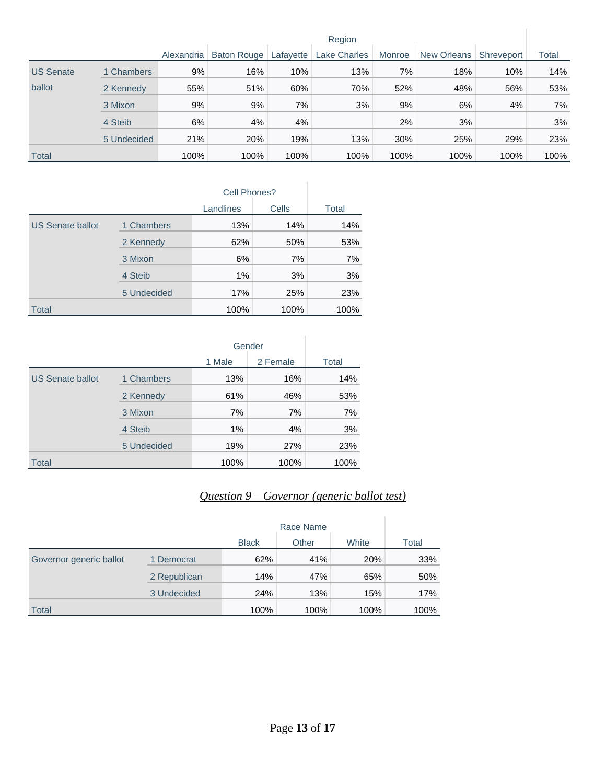|                  |             | Region     |             |           |                     |        |             |            |       |
|------------------|-------------|------------|-------------|-----------|---------------------|--------|-------------|------------|-------|
|                  |             | Alexandria | Baton Rouge | Lafayette | <b>Lake Charles</b> | Monroe | New Orleans | Shreveport | Total |
| <b>US Senate</b> | 1 Chambers  | 9%         | 16%         | 10%       | 13%                 | 7%     | 18%         | 10%        | 14%   |
| ballot           | 2 Kennedy   | 55%        | 51%         | 60%       | 70%                 | 52%    | 48%         | 56%        | 53%   |
|                  | 3 Mixon     | 9%         | 9%          | 7%        | 3%                  | 9%     | 6%          | 4%         | 7%    |
|                  | 4 Steib     | 6%         | 4%          | 4%        |                     | 2%     | 3%          |            | 3%    |
|                  | 5 Undecided | 21%        | 20%         | 19%       | 13%                 | 30%    | 25%         | 29%        | 23%   |
| <b>Total</b>     |             | 100%       | 100%        | 100%      | 100%                | 100%   | 100%        | 100%       | 100%  |

|                         |             | Cell Phones? |       |       |
|-------------------------|-------------|--------------|-------|-------|
|                         |             | Landlines    | Cells | Total |
| <b>US Senate ballot</b> | 1 Chambers  | 13%          | 14%   | 14%   |
|                         | 2 Kennedy   | 62%          | 50%   | 53%   |
|                         | 3 Mixon     | 6%           | 7%    | 7%    |
|                         | 4 Steib     | $1\%$        | 3%    | 3%    |
|                         | 5 Undecided | 17%          | 25%   | 23%   |
| <b>Total</b>            |             | 100%         | 100%  | 100%  |

|                         |             |        | Gender   |       |
|-------------------------|-------------|--------|----------|-------|
|                         |             | 1 Male | 2 Female | Total |
| <b>US Senate ballot</b> | 1 Chambers  | 13%    | 16%      | 14%   |
|                         | 2 Kennedy   | 61%    | 46%      | 53%   |
|                         | 3 Mixon     | 7%     | 7%       | 7%    |
|                         | 4 Steib     | 1%     | 4%       | 3%    |
|                         | 5 Undecided | 19%    | 27%      | 23%   |
| <b>Total</b>            |             | 100%   | 100%     | 100%  |

# *Question 9 – Governor (generic ballot test)*

|                         |              |              | Race Name |       |       |
|-------------------------|--------------|--------------|-----------|-------|-------|
|                         |              | <b>Black</b> | Other     | White | Total |
| Governor generic ballot | 1 Democrat   | 62%          | 41%       | 20%   | 33%   |
|                         | 2 Republican | 14%          | 47%       | 65%   | 50%   |
|                         | 3 Undecided  | 24%          | 13%       | 15%   | 17%   |
| <b>Total</b>            |              | 100%         | 100%      | 100%  | 100%  |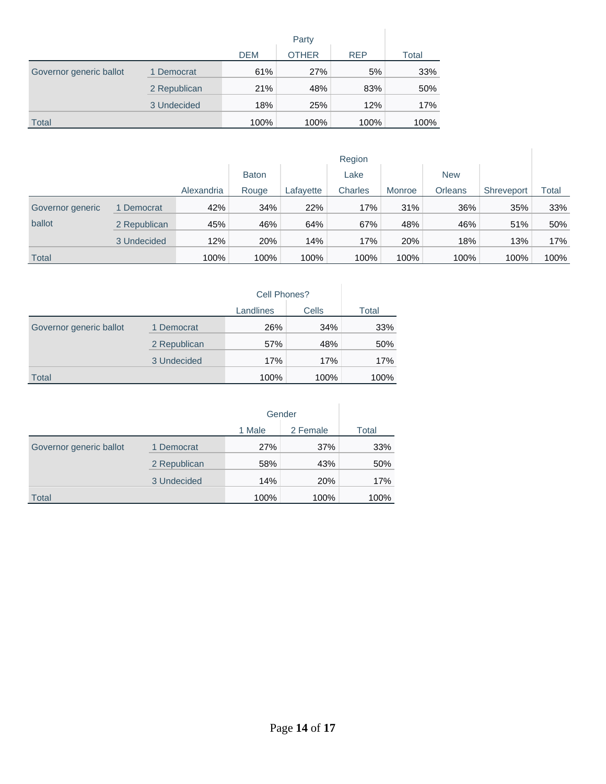|                         |              | <b>DEM</b> | <b>OTHER</b> | <b>REP</b> | Total |
|-------------------------|--------------|------------|--------------|------------|-------|
| Governor generic ballot | 1 Democrat   | 61%        | 27%          | 5%         | 33%   |
|                         | 2 Republican | 21%        | 48%          | 83%        | 50%   |
|                         | 3 Undecided  | 18%        | 25%          | 12%        | 17%   |
| <b>Total</b>            |              | 100%       | 100%         | 100%       | 100%  |

|                  |              | Region     |              |           |         |        |                |            |       |
|------------------|--------------|------------|--------------|-----------|---------|--------|----------------|------------|-------|
|                  |              |            | <b>Baton</b> |           | Lake    |        | <b>New</b>     |            |       |
|                  |              | Alexandria | Rouge        | Lafayette | Charles | Monroe | <b>Orleans</b> | Shreveport | Total |
| Governor generic | Democrat     | 42%        | 34%          | 22%       | 17%     | 31%    | 36%            | 35%        | 33%   |
| ballot           | 2 Republican | 45%        | 46%          | 64%       | 67%     | 48%    | 46%            | 51%        | 50%   |
|                  | 3 Undecided  | 12%        | 20%          | 14%       | 17%     | 20%    | 18%            | 13%        | 17%   |
| <b>Total</b>     |              | 100%       | 100%         | 100%      | 100%    | 100%   | 100%           | 100%       | 100%  |

|                         |              | Cell Phones? |       |       |
|-------------------------|--------------|--------------|-------|-------|
|                         |              | Landlines    | Cells | Total |
| Governor generic ballot | 1 Democrat   | 26%          | 34%   | 33%   |
|                         | 2 Republican | 57%          | 48%   | 50%   |
|                         | 3 Undecided  | 17%          | 17%   | 17%   |
| <b>Total</b>            |              | 100%         | 100%  | 100%  |

|                         |              |        | Gender     |       |
|-------------------------|--------------|--------|------------|-------|
|                         |              | 1 Male | 2 Female   | Total |
| Governor generic ballot | 1 Democrat   | 27%    | 37%        | 33%   |
|                         | 2 Republican | 58%    | 43%        | 50%   |
|                         | 3 Undecided  | 14%    | <b>20%</b> | 17%   |
| <b>Total</b>            |              | 100%   | 100%       | 100%  |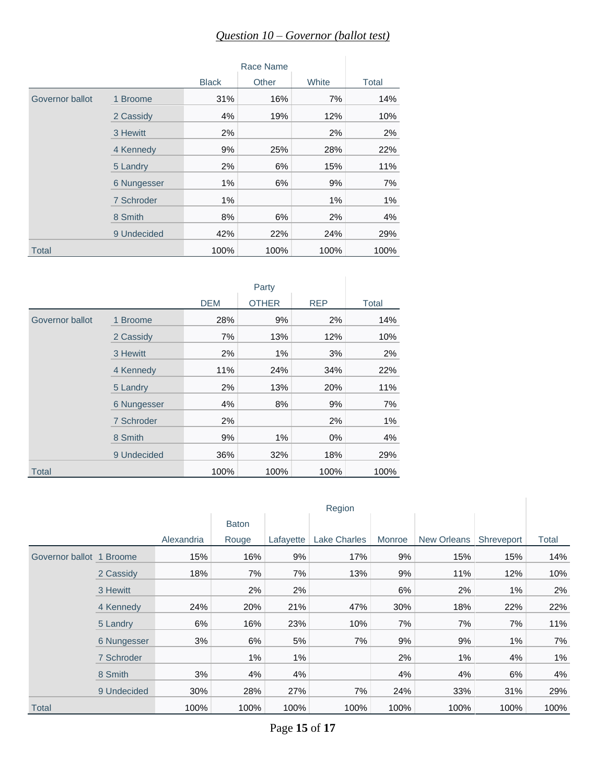# *Question 10 – Governor (ballot test)*

|                 |             | Race Name    |       |       |       |  |
|-----------------|-------------|--------------|-------|-------|-------|--|
|                 |             | <b>Black</b> | Other | White | Total |  |
| Governor ballot | 1 Broome    | 31%          | 16%   | 7%    | 14%   |  |
|                 | 2 Cassidy   | 4%           | 19%   | 12%   | 10%   |  |
|                 | 3 Hewitt    | 2%           |       | 2%    | 2%    |  |
|                 | 4 Kennedy   | 9%           | 25%   | 28%   | 22%   |  |
|                 | 5 Landry    | 2%           | 6%    | 15%   | 11%   |  |
|                 | 6 Nungesser | $1\%$        | 6%    | 9%    | 7%    |  |
|                 | 7 Schroder  | 1%           |       | 1%    | 1%    |  |
|                 | 8 Smith     | 8%           | 6%    | 2%    | 4%    |  |
|                 | 9 Undecided | 42%          | 22%   | 24%   | 29%   |  |
| <b>Total</b>    |             | 100%         | 100%  | 100%  | 100%  |  |

|                 |             | Party      |              |            |       |  |  |
|-----------------|-------------|------------|--------------|------------|-------|--|--|
|                 |             | <b>DEM</b> | <b>OTHER</b> | <b>REP</b> | Total |  |  |
| Governor ballot | 1 Broome    | 28%        | 9%           | 2%         | 14%   |  |  |
|                 | 2 Cassidy   | 7%         | 13%          | 12%        | 10%   |  |  |
|                 | 3 Hewitt    | 2%         | 1%           | 3%         | 2%    |  |  |
|                 | 4 Kennedy   | 11%        | 24%          | 34%        | 22%   |  |  |
|                 | 5 Landry    | 2%         | 13%          | 20%        | 11%   |  |  |
|                 | 6 Nungesser | 4%         | 8%           | 9%         | 7%    |  |  |
|                 | 7 Schroder  | 2%         |              | 2%         | $1\%$ |  |  |
|                 | 8 Smith     | 9%         | 1%           | $0\%$      | 4%    |  |  |
|                 | 9 Undecided | 36%        | 32%          | 18%        | 29%   |  |  |
| <b>Total</b>    |             | 100%       | 100%         | 100%       | 100%  |  |  |

|                          |             |            | Region       |           |                     |        |             |            |       |
|--------------------------|-------------|------------|--------------|-----------|---------------------|--------|-------------|------------|-------|
|                          |             |            | <b>Baton</b> |           |                     |        |             |            |       |
|                          |             | Alexandria | Rouge        | Lafayette | <b>Lake Charles</b> | Monroe | New Orleans | Shreveport | Total |
| Governor ballot 1 Broome |             | 15%        | 16%          | 9%        | 17%                 | 9%     | 15%         | 15%        | 14%   |
|                          | 2 Cassidy   | 18%        | 7%           | 7%        | 13%                 | 9%     | 11%         | 12%        | 10%   |
|                          | 3 Hewitt    |            | 2%           | 2%        |                     | 6%     | 2%          | $1\%$      | 2%    |
|                          | 4 Kennedy   | 24%        | 20%          | 21%       | 47%                 | 30%    | 18%         | 22%        | 22%   |
|                          | 5 Landry    | 6%         | 16%          | 23%       | 10%                 | 7%     | 7%          | 7%         | 11%   |
|                          | 6 Nungesser | 3%         | 6%           | 5%        | 7%                  | 9%     | 9%          | $1\%$      | 7%    |
|                          | 7 Schroder  |            | $1\%$        | $1\%$     |                     | 2%     | $1\%$       | 4%         | $1\%$ |
|                          | 8 Smith     | 3%         | 4%           | 4%        |                     | 4%     | 4%          | 6%         | 4%    |
|                          | 9 Undecided | 30%        | 28%          | 27%       | 7%                  | 24%    | 33%         | 31%        | 29%   |
| <b>Total</b>             |             | 100%       | 100%         | 100%      | 100%                | 100%   | 100%        | 100%       | 100%  |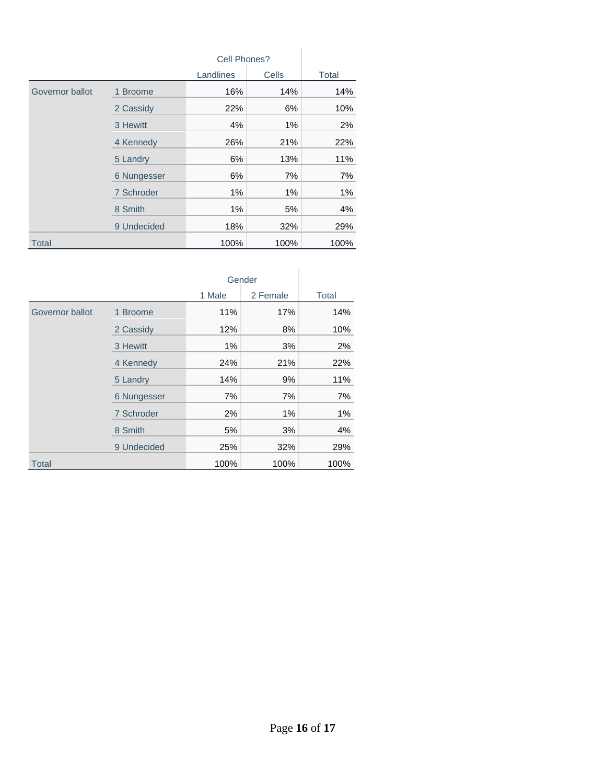|                 |             | Cell Phones? |       |       |
|-----------------|-------------|--------------|-------|-------|
|                 |             | Landlines    | Cells | Total |
| Governor ballot | 1 Broome    | 16%          | 14%   | 14%   |
|                 | 2 Cassidy   | 22%          | 6%    | 10%   |
|                 | 3 Hewitt    | 4%           | $1\%$ | 2%    |
|                 | 4 Kennedy   | 26%          | 21%   | 22%   |
|                 | 5 Landry    | 6%           | 13%   | 11%   |
|                 | 6 Nungesser | 6%           | 7%    | 7%    |
|                 | 7 Schroder  | $1\%$        | $1\%$ | 1%    |
|                 | 8 Smith     | $1\%$        | 5%    | 4%    |
|                 | 9 Undecided | 18%          | 32%   | 29%   |
| <b>Total</b>    |             | 100%         | 100%  | 100%  |

|                 |             | Gender |          |       |
|-----------------|-------------|--------|----------|-------|
|                 |             | 1 Male | 2 Female | Total |
| Governor ballot | 1 Broome    | 11%    | 17%      | 14%   |
|                 | 2 Cassidy   | 12%    | 8%       | 10%   |
|                 | 3 Hewitt    | 1%     | 3%       | 2%    |
|                 | 4 Kennedy   | 24%    | 21%      | 22%   |
|                 | 5 Landry    | 14%    | 9%       | 11%   |
|                 | 6 Nungesser | 7%     | 7%       | 7%    |
|                 | 7 Schroder  | 2%     | 1%       | $1\%$ |
|                 | 8 Smith     | 5%     | 3%       | 4%    |
|                 | 9 Undecided | 25%    | 32%      | 29%   |
| <b>Total</b>    |             | 100%   | 100%     | 100%  |